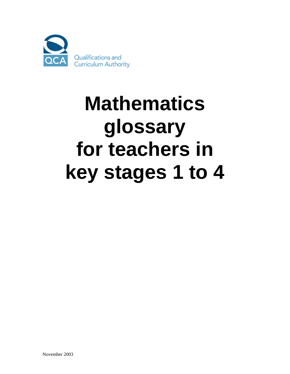

## **Mathematics glossary for teachers in key stages 1 to 4**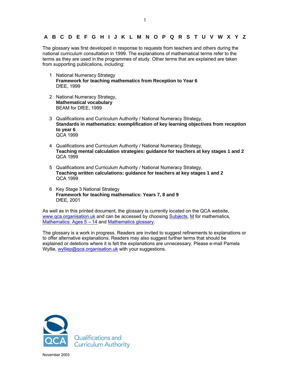## **A B C D E F G H I J K L M N O P Q R S T U V W X Y Z**

The glossary was first developed in response to requests from teachers and others during the national curriculum consultation in 1999. The explanations of mathematical terms refer to the terms as they are used in the programmes of study. Other terms that are explained are taken from supporting publications, including:

- 1 National Numeracy Strategy **Framework for teaching mathematics from Reception to Year 6**  DfEE, 1999
- 2 National Numeracy Strategy, **Mathematical vocabulary** BEAM for DfEE, 1999
- 3 Qualifications and Curriculum Authority / National Numeracy Strategy, **Standards in mathematics: exemplification of key learning objectives from reception to year 6**  QCA 1999
- 4 Qualifications and Curriculum Authority / National Numeracy Strategy, **Teaching mental calculation strategies: guidance for teachers at key stages 1 and 2**  QCA 1999
- 5 Qualifications and Curriculum Authority / National Numeracy Strategy, **Teaching written calculations: guidance for teachers at key stages 1 and 2**  QCA 1999
- 6 Key Stage 3 National Strategy **Framework for teaching mathematics: Years 7, 8 and 9**  DfEE, 2001

As well as in this printed document, the glossary is currently located on the QCA website, www.gca.organisation.uk and can be accessed by choosing Subjects, M for mathematics, Mathematics: Ages  $5 - 14$  and Mathematics glossary.

The glossary is a work in progress. Readers are invited to suggest refinements to explanations or to offer alternative explanations. Readers may also suggest further terms that should be explained or deletions where it is felt the explanations are unnecessary. Please e-mail Pamela Wyllie, wylliep@qca.organisation.uk with your suggestions.

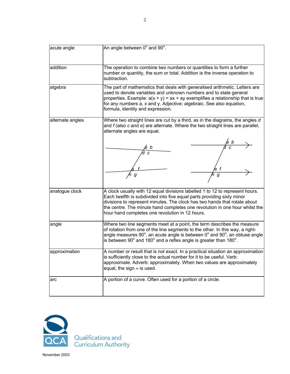| acute angle      | An angle between 0° and 90°.                                                                                                                                                                                                                                                                                                                                          |
|------------------|-----------------------------------------------------------------------------------------------------------------------------------------------------------------------------------------------------------------------------------------------------------------------------------------------------------------------------------------------------------------------|
| addition         | The operation to combine two numbers or quantities to form a further<br>number or quantity, the sum or total. Addition is the inverse operation to                                                                                                                                                                                                                    |
| algebra          | subtraction.<br>The part of mathematics that deals with generalised arithmetic. Letters are<br>used to denote variables and unknown numbers and to state general                                                                                                                                                                                                      |
|                  | properties. Example: $a(x + y) = ax + ay$ exemplifies a relationship that is true<br>for any numbers a, x and y. Adjective: algebraic. See also equation,<br>formula, identity and expression.                                                                                                                                                                        |
| alternate angles | Where two straight lines are cut by a third, as in the diagrams, the angles d<br>and $f$ (also $c$ and $e$ ) are alternate. Where the two straight lines are parallel,<br>alternate angles are equal.                                                                                                                                                                 |
|                  |                                                                                                                                                                                                                                                                                                                                                                       |
|                  | g<br>g                                                                                                                                                                                                                                                                                                                                                                |
| analogue clock   | A clock usually with 12 equal divisions labelled 1 to 12 to represent hours.<br>Each twelfth is subdivided into five equal parts providing sixty minor<br>divisions to represent minutes. The clock has two hands that rotate about<br>the centre. The minute hand completes one revolution in one hour whilst the<br>hour hand completes one revolution in 12 hours. |
| angle            | Where two line segments meet at a point, the term describes the measure<br>of rotation from one of the line segments to the other. In this way, a right-<br>angle measures $90^\circ$ , an acute angle is between $0^\circ$ and $90^\circ$ , an obtuse angle<br>is between $90^\circ$ and 180 $^\circ$ and a reflex angle is greater than 180 $^\circ$ .              |
| approximation    | A number or result that is not exact. In a practical situation an approximation<br>is sufficiently close to the actual number for it to be useful. Verb:<br>approximate. Adverb: approximately. When two values are approximately<br>equal, the sign $\approx$ is used.                                                                                               |
| arc              | A portion of a curve. Often used for a portion of a circle.                                                                                                                                                                                                                                                                                                           |

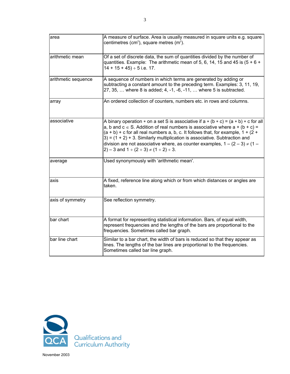| area                | A measure of surface. Area is usually measured in square units e.g. square<br>centimetres (cm <sup>2</sup> ), square metres (m <sup>2</sup> ).                                                                                                                                                                                                                                                                                                                                              |
|---------------------|---------------------------------------------------------------------------------------------------------------------------------------------------------------------------------------------------------------------------------------------------------------------------------------------------------------------------------------------------------------------------------------------------------------------------------------------------------------------------------------------|
| arithmetic mean     | Of a set of discrete data, the sum of quantities divided by the number of<br>quantities. Example: The arithmetic mean of 5, 6, 14, 15 and 45 is $(5 + 6 +$<br>$14 + 15 + 45$ ÷ 5 i.e. 17.                                                                                                                                                                                                                                                                                                   |
| arithmetic sequence | A sequence of numbers in which terms are generated by adding or<br>subtracting a constant amount to the preceding term. Examples: 3, 11, 19,<br>27, 35,  where 8 is added; 4, -1, -6, -11,  where 5 is subtracted.                                                                                                                                                                                                                                                                          |
| array               | An ordered collection of counters, numbers etc. in rows and columns.                                                                                                                                                                                                                                                                                                                                                                                                                        |
| associative         | A binary operation $*$ on a set S is associative if $a * (b * c) = (a * b) * c$ for all<br>a, b and $c \in S$ . Addition of real numbers is associative where $a + (b + c) =$<br>$(a + b)$ + c for all real numbers a, b, c. It follows that, for example, $1 + (2 + b)$<br>$3$ ) = (1 + 2) + 3. Similarly multiplication is associative. Subtraction and<br>division are not associative where, as counter examples, $1 - (2 - 3) \neq (1 -$<br>2) – 3 and 1 ÷ (2 ÷ 3) $\neq$ (1 ÷ 2) ÷ 3. |
| average             | Used synonymously with 'arithmetic mean'.                                                                                                                                                                                                                                                                                                                                                                                                                                                   |
| axis                | A fixed, reference line along which or from which distances or angles are<br>taken.                                                                                                                                                                                                                                                                                                                                                                                                         |
| axis of symmetry    | See reflection symmetry.                                                                                                                                                                                                                                                                                                                                                                                                                                                                    |
| bar chart           | A format for representing statistical information. Bars, of equal width,<br>represent frequencies and the lengths of the bars are proportional to the<br>frequencies. Sometimes called bar graph.                                                                                                                                                                                                                                                                                           |
| bar line chart      | Similar to a bar chart, the width of bars is reduced so that they appear as<br>lines. The lengths of the bar lines are proportional to the frequencies.<br>Sometimes called bar line graph.                                                                                                                                                                                                                                                                                                 |

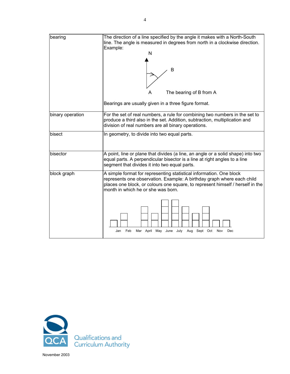| bearing          | The direction of a line specified by the angle it makes with a North-South<br>line. The angle is measured in degrees from north in a clockwise direction.                                                                                                             |
|------------------|-----------------------------------------------------------------------------------------------------------------------------------------------------------------------------------------------------------------------------------------------------------------------|
|                  | Example:<br>N                                                                                                                                                                                                                                                         |
|                  | B                                                                                                                                                                                                                                                                     |
|                  | The bearing of B from A                                                                                                                                                                                                                                               |
|                  | Bearings are usually given in a three figure format.                                                                                                                                                                                                                  |
| binary operation | For the set of real numbers, a rule for combining two numbers in the set to<br>produce a third also in the set. Addition, subtraction, multiplication and<br>division of real numbers are all binary operations.                                                      |
| bisect           | In geometry, to divide into two equal parts.                                                                                                                                                                                                                          |
| bisector         | A point, line or plane that divides (a line, an angle or a solid shape) into two<br>equal parts. A perpendicular bisector is a line at right angles to a line<br>segment that divides it into two equal parts.                                                        |
| block graph      | A simple format for representing statistical information. One block<br>represents one observation. Example: A birthday graph where each child<br>places one block, or colours one square, to represent himself / herself in the<br>month in which he or she was born. |
|                  | May June<br>July<br>Feb<br>Mar April<br>Aug<br>Sept<br>Oct<br>Jan<br>Nov<br>Dec                                                                                                                                                                                       |

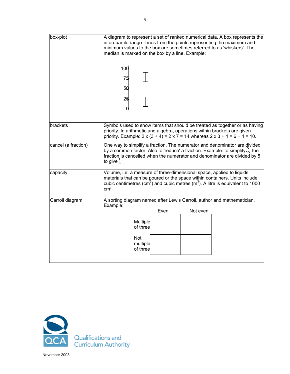| box-plot            | A diagram to represent a set of ranked numerical data. A box represents the<br>interquartile range. Lines from the points representing the maximum and<br>minimum values to the box are sometimes referred to as 'whiskers'. The<br>median is marked on the box by a line. Example:<br>10 <sub>θ</sub><br>75<br>50<br>25 |
|---------------------|--------------------------------------------------------------------------------------------------------------------------------------------------------------------------------------------------------------------------------------------------------------------------------------------------------------------------|
| brackets            | Symbols used to show items that should be treated as together or as having<br>priority. In arithmetic and algebra, operations within brackets are given<br>priority. Example: $2 \times (3 + 4) = 2 \times 7 = 14$ whereas $2 \times 3 + 4 = 6 + 4 = 10$ .                                                               |
| cancel (a fraction) | One way to simplify a fraction. The numerator and denominator are divided<br>by a common factor. Also to 'reduce' a fraction. Example: to simplify $\frac{5}{15}$ the<br>fraction is cancelled when the numerator and denominator are divided by 5<br>to give $\frac{1}{3}$ .                                            |
| capacity            | Volume, i.e. a measure of three-dimensional space, applied to liquids,<br>materials that can be poured or the space within containers. Units include<br>cubic centimetres (cm <sup>3</sup> ) and cubic metres (m <sup>3</sup> ). A litre is equivalent to 1000<br>$cm3$ .                                                |
| Carroll diagram     | A sorting diagram named after Lewis Carroll, author and mathematician.<br>Example:<br>Even<br>Not even                                                                                                                                                                                                                   |
|                     | Multiple<br>of three                                                                                                                                                                                                                                                                                                     |
|                     | Not<br>multiple<br>of three                                                                                                                                                                                                                                                                                              |

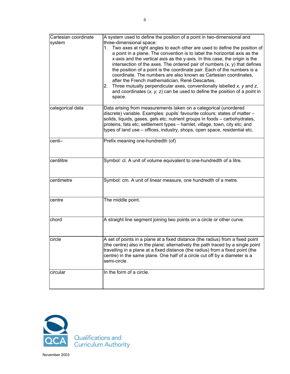| Cartesian coordinate | A system used to define the position of a point in two-dimensional and                                                                                                                                                                                                                                                                                                                                                                                                                                                                                                                                                                                                                                                                      |
|----------------------|---------------------------------------------------------------------------------------------------------------------------------------------------------------------------------------------------------------------------------------------------------------------------------------------------------------------------------------------------------------------------------------------------------------------------------------------------------------------------------------------------------------------------------------------------------------------------------------------------------------------------------------------------------------------------------------------------------------------------------------------|
| system               | three-dimensional space:<br>Two axes at right angles to each other are used to define the position of<br>1.<br>a point in a plane. The convention is to label the horizontal axis as the<br>x-axis and the vertical axis as the y-axis. In this case, the origin is the<br>intersection of the axes. The ordered pair of numbers $(x, y)$ that defines<br>the position of a point is the coordinate pair. Each of the numbers is a<br>coordinate. The numbers are also known as Cartesian coordinates,<br>after the French mathematician, René Descartes.<br>Three mutually perpendicular axes, conventionally labelled $x$ , $y$ and $z$ ,<br>2.<br>and coordinates $(x, y, z)$ can be used to define the position of a point in<br>space. |
| categorical data     | Data arising from measurements taken on a categorical (unordered<br>discrete) variable. Examples: pupils' favourite colours; states of matter -<br>solids, liquids, gases, gels etc; nutrient groups in foods - carbohydrates,<br>proteins, fats etc; settlement types - hamlet, village, town, city etc; and<br>types of land use - offices, industry, shops, open space, residential etc.                                                                                                                                                                                                                                                                                                                                                 |
| centi-               | Prefix meaning one-hundredth (of)                                                                                                                                                                                                                                                                                                                                                                                                                                                                                                                                                                                                                                                                                                           |
| centilitre           | Symbol: cl. A unit of volume equivalent to one-hundredth of a litre.                                                                                                                                                                                                                                                                                                                                                                                                                                                                                                                                                                                                                                                                        |
| centimetre           | Symbol: cm. A unit of linear measure, one hundredth of a metre.                                                                                                                                                                                                                                                                                                                                                                                                                                                                                                                                                                                                                                                                             |
| centre               | The middle point.                                                                                                                                                                                                                                                                                                                                                                                                                                                                                                                                                                                                                                                                                                                           |
| chord                | A straight line segment joining two points on a circle or other curve.                                                                                                                                                                                                                                                                                                                                                                                                                                                                                                                                                                                                                                                                      |
| circle               | A set of points in a plane at a fixed distance (the radius) from a fixed point<br>(the centre) also in the plane; alternatively the path traced by a single point<br>travelling in a plane at a fixed distance (the radius) from a fixed point (the<br>centre) in the same plane. One half of a circle cut off by a diameter is a<br>semi-circle.                                                                                                                                                                                                                                                                                                                                                                                           |
| circular             | In the form of a circle.                                                                                                                                                                                                                                                                                                                                                                                                                                                                                                                                                                                                                                                                                                                    |

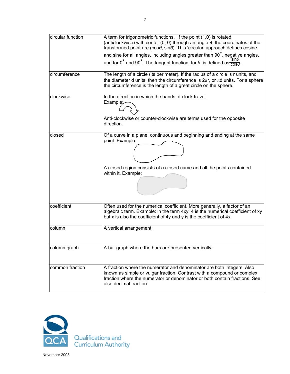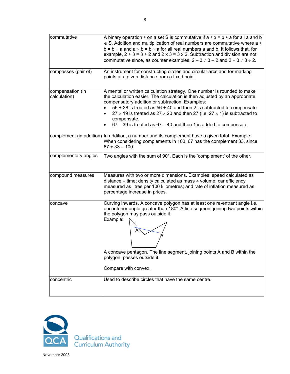| commutative                      | A binary operation $*$ on a set S is commutative if $a * b = b * a$ for all a and b<br>$\epsilon$ S. Addition and multiplication of real numbers are commutative where a +<br>$b = b + a$ and $a \times b = b \times a$ for all real numbers a and b. It follows that, for<br>example, $2 + 3 = 3 + 2$ and $2 \times 3 = 3 \times 2$ . Subtraction and division are not<br>commutative since, as counter examples, $2 - 3 \neq 3 - 2$ and $2 \div 3 \neq 3 \div 2$ .                   |
|----------------------------------|----------------------------------------------------------------------------------------------------------------------------------------------------------------------------------------------------------------------------------------------------------------------------------------------------------------------------------------------------------------------------------------------------------------------------------------------------------------------------------------|
| compasses (pair of)              | An instrument for constructing circles and circular arcs and for marking<br>points at a given distance from a fixed point.                                                                                                                                                                                                                                                                                                                                                             |
| compensation (in<br>calculation) | A mental or written calculation strategy. One number is rounded to make<br>the calculation easier. The calculation is then adjusted by an appropriate<br>compensatory addition or subtraction. Examples:<br>56 + 38 is treated as 56 + 40 and then 2 is subtracted to compensate.<br>27 $\times$ 19 is treated as 27 $\times$ 20 and then 27 (i.e. 27 $\times$ 1) is subtracted to<br>$\bullet$<br>compensate.<br>$67 - 39$ is treated as $67 - 40$ and then 1 is added to compensate. |
|                                  | complement (in addition) In addition, a number and its complement have a given total. Example:<br>When considering complements in 100, 67 has the complement 33, since<br>$67 + 33 = 100$                                                                                                                                                                                                                                                                                              |
| complementary angles             | Two angles with the sum of $90^\circ$ . Each is the 'complement' of the other.                                                                                                                                                                                                                                                                                                                                                                                                         |
| compound measures                | Measures with two or more dimensions. Examples: speed calculated as<br>distance $\div$ time; density calculated as mass $\div$ volume; car efficiency<br>measured as litres per 100 kilometres; and rate of inflation measured as<br>percentage increase in prices.                                                                                                                                                                                                                    |
| concave                          | Curving inwards. A concave polygon has at least one re-entrant angle i.e.<br>one interior angle greater than 180°. A line segment joining two points within<br>the polygon may pass outside it.<br>Example:<br>A concave pentagon. The line segment, joining points A and B within the<br>polygon, passes outside it.<br>Compare with convex.                                                                                                                                          |
| concentric                       | Used to describe circles that have the same centre.                                                                                                                                                                                                                                                                                                                                                                                                                                    |

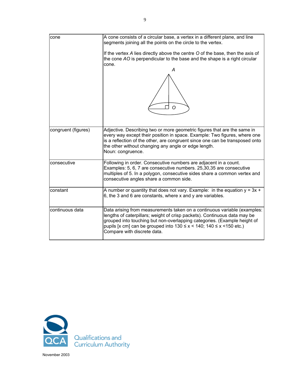| cone                | A cone consists of a circular base, a vertex in a different plane, and line<br>segments joining all the points on the circle to the vertex.<br>If the vertex A lies directly above the centre O of the base, then the axis of<br>the cone AO is perpendicular to the base and the shape is a right circular<br>cone.<br>А<br>Ω                    |
|---------------------|---------------------------------------------------------------------------------------------------------------------------------------------------------------------------------------------------------------------------------------------------------------------------------------------------------------------------------------------------|
| congruent (figures) | Adjective. Describing two or more geometric figures that are the same in<br>every way except their position in space. Example: Two figures, where one<br>is a reflection of the other, are congruent since one can be transposed onto<br>the other without changing any angle or edge length.<br>Noun: congruence.                                |
| consecutive         | Following in order. Consecutive numbers are adjacent in a count.<br>Examples: 5, 6, 7 are consecutive numbers. 25,30,35 are consecutive<br>multiples of 5. In a polygon, consecutive sides share a common vertex and<br>consecutive angles share a common side.                                                                                   |
| constant            | A number or quantity that does not vary. Example: in the equation $y = 3x +$<br>6, the 3 and 6 are constants, where x and y are variables.                                                                                                                                                                                                        |
| continuous data     | Data arising from measurements taken on a continuous variable (examples:<br>lengths of caterpillars; weight of crisp packets). Continuous data may be<br>grouped into touching but non-overlapping categories. (Example height of<br>pupils [x cm] can be grouped into $130 \le x < 140$ ; $140 \le x < 150$ etc.)<br>Compare with discrete data. |

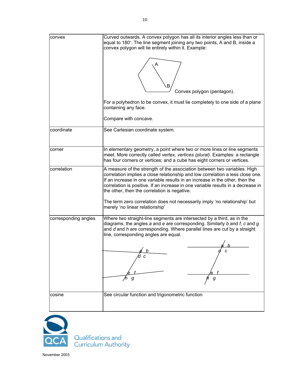| convex               | Curved outwards. A convex polygon has all its interior angles less than or<br>equal to 180°. The line segment joining any two points, A and B, inside a<br>convex polygon will lie entirely within it. Example:<br>Convex polygon (pentagon).<br>For a polyhedron to be convex, it must lie completely to one side of a plane<br>containing any face.<br>Compare with concave.                                                                                                                  |
|----------------------|-------------------------------------------------------------------------------------------------------------------------------------------------------------------------------------------------------------------------------------------------------------------------------------------------------------------------------------------------------------------------------------------------------------------------------------------------------------------------------------------------|
| coordinate           | See Cartesian coordinate system.                                                                                                                                                                                                                                                                                                                                                                                                                                                                |
| corner               | In elementary geometry, a point where two or more lines or line segments<br>meet. More correctly called vertex, vertices (plural). Examples: a rectangle<br>has four corners or vertices; and a cube has eight corners or vertices.                                                                                                                                                                                                                                                             |
| correlation          | A measure of the strength of the association between two variables. High<br>correlation implies a close relationship and low correlation a less close one.<br>If an increase in one variable results in an increase in the other, then the<br>correlation is positive. If an increase in one variable results in a decrease in<br>the other, then the correlation is negative.<br>The term zero correlation does not necessarily imply 'no relationship' but<br>merely 'no linear relationship' |
| corresponding angles | Where two straight-line segments are intersected by a third, as in the<br>diagrams, the angles $a$ and $e$ are corresponding. Similarly $b$ and $f$ , $c$ and $g$<br>and d and h are corresponding. Where parallel lines are cut by a straight<br>line, corresponding angles are equal.<br>≰ h<br>g<br>g                                                                                                                                                                                        |
| cosine               | See circular function and trigonometric function                                                                                                                                                                                                                                                                                                                                                                                                                                                |



Qualifications and<br>Curriculum Authority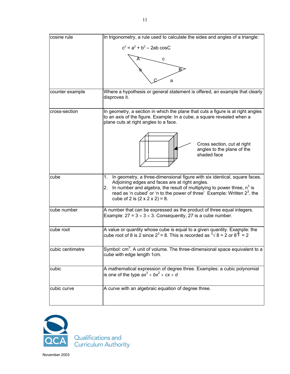| cosine rule      | In trigonometry, a rule used to calculate the sides and angles of a triangle:                                                                                                                                                                                                                                                                     |
|------------------|---------------------------------------------------------------------------------------------------------------------------------------------------------------------------------------------------------------------------------------------------------------------------------------------------------------------------------------------------|
|                  | $c^2 = a^2 + b^2 - 2ab \cos C$                                                                                                                                                                                                                                                                                                                    |
|                  | с                                                                                                                                                                                                                                                                                                                                                 |
|                  |                                                                                                                                                                                                                                                                                                                                                   |
|                  | а                                                                                                                                                                                                                                                                                                                                                 |
| counter example  | Where a hypothesis or general statement is offered, an example that clearly<br>disproves it.                                                                                                                                                                                                                                                      |
| cross-section    | In geometry, a section in which the plane that cuts a figure is at right angles<br>to an axis of the figure. Example: In a cube, a square revealed when a<br>plane cuts at right angles to a face.                                                                                                                                                |
|                  | Cross section, cut at right<br>angles to the plane of the<br>shaded face                                                                                                                                                                                                                                                                          |
| cube             | In geometry, a three-dimensional figure with six identical, square faces.<br>1.<br>Adjoining edges and faces are at right angles.<br>In number and algebra, the result of multiplying to power three, $n^3$ is<br>2.<br>read as 'n cubed' or 'n to the power of three' Example: Written $2^3$ , the<br>cube of 2 is $(2 \times 2 \times 2) = 8$ . |
| cube number      | A number that can be expressed as the product of three equal integers.<br>Example: $27 = 3 \times 3 \times 3$ . Consequently, 27 is a cube number.                                                                                                                                                                                                |
| cube root        | A value or quantity whose cube is equal to a given quantity. Example: the<br>cube root of 8 is 2 since $2^3$ = 8. This is recorded as $\sqrt[3]{8}$ = 2 or $8^{\frac{1}{3}}$ = 2                                                                                                                                                                  |
| cubic centimetre | Symbol: cm <sup>3</sup> . A unit of volume. The three-dimensional space equivalent to a<br>cube with edge length 1cm.                                                                                                                                                                                                                             |
| cubic            | A mathematical expression of degree three. Examples: a cubic polynomial<br>is one of the type $ax^3 + bx^2 + cx + d$                                                                                                                                                                                                                              |
| cubic curve      | A curve with an algebraic equation of degree three.                                                                                                                                                                                                                                                                                               |

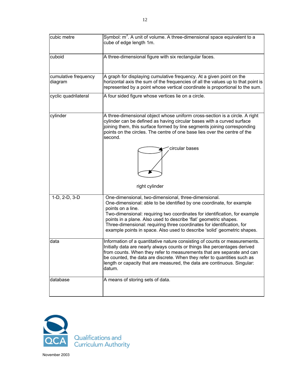| cubic metre                     | Symbol: m <sup>3</sup> . A unit of volume. A three-dimensional space equivalent to a<br>cube of edge length 1m.                                                                                                                                                                                                                                                                                                                                             |
|---------------------------------|-------------------------------------------------------------------------------------------------------------------------------------------------------------------------------------------------------------------------------------------------------------------------------------------------------------------------------------------------------------------------------------------------------------------------------------------------------------|
| cuboid                          | A three-dimensional figure with six rectangular faces.                                                                                                                                                                                                                                                                                                                                                                                                      |
| cumulative frequency<br>diagram | A graph for displaying cumulative frequency. At a given point on the<br>horizontal axis the sum of the frequencies of all the values up to that point is<br>represented by a point whose vertical coordinate is proportional to the sum.                                                                                                                                                                                                                    |
| cyclic quadrilateral            | A four sided figure whose vertices lie on a circle.                                                                                                                                                                                                                                                                                                                                                                                                         |
| cylinder                        | A three-dimensional object whose uniform cross-section is a circle. A right<br>cylinder can be defined as having circular bases with a curved surface<br>joining them, this surface formed by line segments joining corresponding<br>points on the circles. The centre of one base lies over the centre of the<br>second.<br>circular bases<br>right cylinder                                                                                               |
| 1-D, 2-D, 3-D                   | One-dimensional, two-dimensional, three-dimensional.<br>One-dimensional: able to be identified by one coordinate, for example<br>points on a line.<br>Two-dimensional: requiring two coordinates for identification, for example<br>points in a plane. Also used to describe 'flat' geometric shapes.<br>Three-dimensional: requiring three coordinates for identification, for<br>example points in space. Also used to describe 'solid' geometric shapes. |
| data                            | Information of a quantitative nature consisting of counts or measurements.<br>Initially data are nearly always counts or things like percentages derived<br>from counts. When they refer to measurements that are separate and can<br>be counted, the data are discrete. When they refer to quantities such as<br>length or capacity that are measured, the data are continuous. Singular:<br>datum.                                                        |
| database                        | A means of storing sets of data.                                                                                                                                                                                                                                                                                                                                                                                                                            |

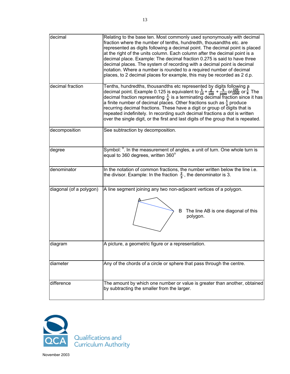| decimal          | Relating to the base ten. Most commonly used synonymously with decimal<br>fraction where the number of tenths, hundredth, thousandths etc. are<br>represented as digits following a decimal point. The decimal point is placed<br>at the right of the units column. Each column after the decimal point is a<br>decimal place. Example: The decimal fraction 0.275 is said to have three<br>decimal places. The system of recording with a decimal point is decimal<br>notation. Where a number is rounded to a required number of decimal<br>places, to 2 decimal places for example, this may be recorded as 2 d.p. |
|------------------|-----------------------------------------------------------------------------------------------------------------------------------------------------------------------------------------------------------------------------------------------------------------------------------------------------------------------------------------------------------------------------------------------------------------------------------------------------------------------------------------------------------------------------------------------------------------------------------------------------------------------|
| decimal fraction | Tenths, hundredths, thousandths etc represented by digits following a decimal point. Example 0.125 is equivalent to $\frac{1}{10} + \frac{2}{100} + \frac{5}{1000}$ or $\frac{125}{1000}$ or $\frac{1}{8}$ . The decimal fraction representing $\frac{1}{8$<br>a finite number of decimal places. Other fractions such as $\frac{1}{3}$ produce<br>recurring decimal fractions. These have a digit or group of digits that is<br>repeated indefinitely. In recording such decimal fractions a dot is written<br>over the single digit, or the first and last digits of the group that is repeated.                    |
| decomposition    | See subtraction by decomposition.                                                                                                                                                                                                                                                                                                                                                                                                                                                                                                                                                                                     |
| degree           | Symbol: <sup>o</sup> . In the measurement of angles, a unit of turn. One whole turn is<br>equal to 360 degrees, written 360°                                                                                                                                                                                                                                                                                                                                                                                                                                                                                          |

|                         | a finite number of decimal places. Other fractions such as $\frac{1}{3}$ produce<br>recurring decimal fractions. These have a digit or group of digits that is<br>repeated indefinitely. In recording such decimal fractions a dot is written<br>over the single digit, or the first and last digits of the group that is repeated. |
|-------------------------|-------------------------------------------------------------------------------------------------------------------------------------------------------------------------------------------------------------------------------------------------------------------------------------------------------------------------------------|
| decomposition           | See subtraction by decomposition.                                                                                                                                                                                                                                                                                                   |
| degree                  | Symbol: <sup>o</sup> . In the measurement of angles, a unit of turn. One whole turn is<br>equal to 360 degrees, written 360°                                                                                                                                                                                                        |
| denominator             | In the notation of common fractions, the number written below the line i.e.<br>the divisor. Example: In the fraction $\frac{2}{3}$ , the denominator is 3.                                                                                                                                                                          |
| diagonal (of a polygon) | A line segment joining any two non-adjacent vertices of a polygon.<br>The line AB is one diagonal of this<br>B.<br>polygon.                                                                                                                                                                                                         |
| diagram                 | A picture, a geometric figure or a representation.                                                                                                                                                                                                                                                                                  |
| diameter                | Any of the chords of a circle or sphere that pass through the centre.                                                                                                                                                                                                                                                               |
| difference              | The amount by which one number or value is greater than another, obtained<br>by subtracting the smaller from the larger.                                                                                                                                                                                                            |

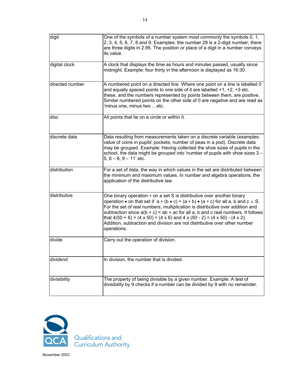| digit           | One of the symbols of a number system most commonly the symbols 0, 1,<br>2, 3, 4, 5, 6, 7, 8 and 9. Examples: the number 29 is a 2-digit number; there<br>are three digits in 2.95. The position or place of a digit in a number conveys<br>its value.                                                                                                                                                                                                                                                                                                      |
|-----------------|-------------------------------------------------------------------------------------------------------------------------------------------------------------------------------------------------------------------------------------------------------------------------------------------------------------------------------------------------------------------------------------------------------------------------------------------------------------------------------------------------------------------------------------------------------------|
| digital clock   | A clock that displays the time as hours and minutes passed, usually since<br>midnight. Example: four thirty in the afternoon is displayed as 16:30.                                                                                                                                                                                                                                                                                                                                                                                                         |
| directed number | A numbered point on a directed line. Where one point on a line is labelled 0<br>and equally spaced points to one side of it are labelled $+1$ , $+2$ , $+3$ etc.<br>these, and the numbers represented by points between them, are positive.<br>Similar numbered points on the other side of 0 are negative and are read as<br>minus one, minus two etc.                                                                                                                                                                                                    |
| disc            | All points that lie on a circle or within it.                                                                                                                                                                                                                                                                                                                                                                                                                                                                                                               |
| discrete data   | Data resulting from measurements taken on a discrete variable (examples:<br>value of coins in pupils' pockets; number of peas in a pod). Discrete data<br>may be grouped. Example: Having collected the shoe sizes of pupils in the<br>school, the data might be grouped into 'number of pupils with shoe sizes 3 -<br>$5, 6 - 8, 9 - 11$ ' etc.                                                                                                                                                                                                            |
| distribution    | For a set of data, the way in which values in the set are distributed between<br>the minimum and maximum values. In number and algebra operations, the<br>application of the distributive law.                                                                                                                                                                                                                                                                                                                                                              |
| distributive    | One binary operation $*$ on a set S is distributive over another binary<br>operation • on that set if $a * (b \cdot c) = (a * b) \cdot (a * c)$ for all a, b and $c \in S$ .<br>For the set of real numbers, multiplication is distributive over addition and<br>subtraction since $a(b + c) = ab + ac$ for all a, b and c real numbers. It follows<br>that $4(50 + 6) = (4 \times 50) + (4 \times 6)$ and $4 \times (50 - 2) = (4 \times 50) - (4 \times 2)$ .<br>Addition, subtraction and division are not distributive over other number<br>operations. |
| divide          | Carry out the operation of division.                                                                                                                                                                                                                                                                                                                                                                                                                                                                                                                        |
| dividend        | In division, the number that is divided.                                                                                                                                                                                                                                                                                                                                                                                                                                                                                                                    |
| divisibility    | The property of being divisible by a given number. Example: A test of<br>divisibility by 9 checks if a number can be divided by 9 with no remainder.                                                                                                                                                                                                                                                                                                                                                                                                        |

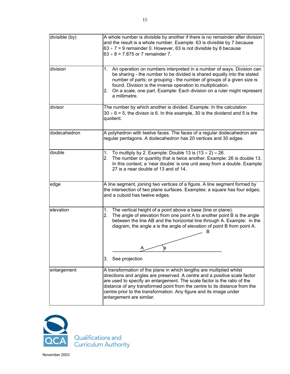

Qualifications and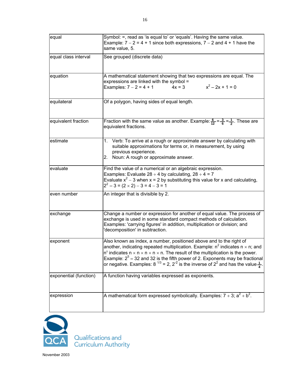| equal                  | Symbol: =, read as 'is equal to' or 'equals'. Having the same value.<br>Example: $7 - 2 = 4 + 1$ since both expressions, $7 - 2$ and $4 + 1$ have the<br>same value, 5.                                                                                                                                                                                                                                                                                                       |
|------------------------|-------------------------------------------------------------------------------------------------------------------------------------------------------------------------------------------------------------------------------------------------------------------------------------------------------------------------------------------------------------------------------------------------------------------------------------------------------------------------------|
| equal class interval   | See grouped (discrete data)                                                                                                                                                                                                                                                                                                                                                                                                                                                   |
| equation               | A mathematical statement showing that two expressions are equal. The<br>expressions are linked with the symbol =<br>$x^2 - 2x + 1 = 0$<br>Examples: $7 - 2 = 4 + 1$<br>$4x = 3$                                                                                                                                                                                                                                                                                               |
| equilateral            | Of a polygon, having sides of equal length.                                                                                                                                                                                                                                                                                                                                                                                                                                   |
| equivalent fraction    | Fraction with the same value as another. Example: $\frac{6}{12} = \frac{3}{6} = \frac{1}{2}$ . These are<br>equivalent fractions.                                                                                                                                                                                                                                                                                                                                             |
| estimate               | 1. Verb: To arrive at a rough or approximate answer by calculating with<br>suitable approximations for terms or, in measurement, by using<br>previous experience.<br>Noun: A rough or approximate answer.<br>2.                                                                                                                                                                                                                                                               |
| evaluate               | Find the value of a numerical or an algebraic expression.<br>Examples: Evaluate 28 $\div$ 4 by calculating, 28 $\div$ 4 = 7<br>Evaluate $x^2$ – 3 when x = 2 by substituting this value for x and calculating,<br>$2^2 - 3 = (2 \times 2) - 3 = 4 - 3 = 1$                                                                                                                                                                                                                    |
| even number            | An integer that is divisible by 2.                                                                                                                                                                                                                                                                                                                                                                                                                                            |
| exchange               | Change a number or expression for another of equal value. The process of<br>exchange is used in some standard compact methods of calculation.<br>Examples: 'carrying figures' in addition, multiplication or division; and<br>decomposition' in subtraction.                                                                                                                                                                                                                  |
| exponent               | Also known as index, a number, positioned above and to the right of<br>another, indicating repeated multiplication. Example: $n^2$ indicates $n \times n$ ; and<br>$n5$ indicates $n \times n \times n \times n \times n$ . The result of the multiplication is the power.<br>Example: $2^5$ = 32 and 32 is the fifth power of 2. Exponents may be fractional or negative. Examples: 8 <sup>1/3</sup> = 2, $2^{-2}$ is the inverse of $2^2$ and has the value $\frac{1}{4}$ . |
| exponential (function) | A function having variables expressed as exponents.                                                                                                                                                                                                                                                                                                                                                                                                                           |
| expression             | A mathematical form expressed symbolically. Examples: $7 + 3$ ; $a^2 + b^2$ .                                                                                                                                                                                                                                                                                                                                                                                                 |

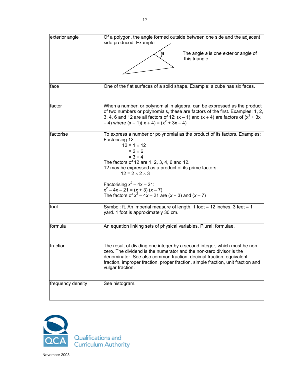| exterior angle    | Of a polygon, the angle formed outside between one side and the adjacent<br>side produced. Example:                                                                                                                                                                                                                              |
|-------------------|----------------------------------------------------------------------------------------------------------------------------------------------------------------------------------------------------------------------------------------------------------------------------------------------------------------------------------|
|                   | The angle a is one exterior angle of<br>this triangle.                                                                                                                                                                                                                                                                           |
|                   |                                                                                                                                                                                                                                                                                                                                  |
| face              | One of the flat surfaces of a solid shape. Example: a cube has six faces.                                                                                                                                                                                                                                                        |
| factor            | When a number, or polynomial in algebra, can be expressed as the product<br>of two numbers or polynomials, these are factors of the first. Examples: 1, 2,<br>3, 4, 6 and 12 are all factors of 12: $(x - 1)$ and $(x + 4)$ are factors of $(x^2 + 3x)$<br>$-$ 4) where $(x - 1)(x + 4) = (x2 + 3x - 4)$                         |
| factorise         | To express a number or polynomial as the product of its factors. Examples:<br>Factorising 12:<br>$12 = 1 \times 12$<br>$= 2 \times 6$<br>$= 3 \times 4$<br>The factors of 12 are 1, 2, 3, 4, 6 and 12.<br>12 may be expressed as a product of its prime factors:<br>$12 = 2 \times 2 \times 3$                                   |
|                   | Factorising $x^2 - 4x - 21$ :<br>$x^{2}-4x-21 = (x + 3) (x - 7)$<br>The factors of $x^2 - 4x - 21$ are $(x + 3)$ and $(x - 7)$                                                                                                                                                                                                   |
| foot              | Symbol: ft. An imperial measure of length. 1 foot = 12 inches. 3 feet = 1<br>yard. 1 foot is approximately 30 cm.                                                                                                                                                                                                                |
| formula           | An equation linking sets of physical variables. Plural: formulae.                                                                                                                                                                                                                                                                |
| fraction          | The result of dividing one integer by a second integer, which must be non-<br>zero. The dividend is the numerator and the non-zero divisor is the<br>denominator. See also common fraction, decimal fraction, equivalent<br>fraction, improper fraction, proper fraction, simple fraction, unit fraction and<br>vulgar fraction. |
| frequency density | See histogram.                                                                                                                                                                                                                                                                                                                   |

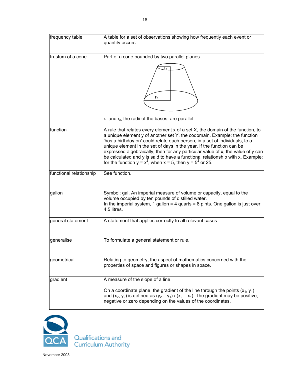| frequency table         | A table for a set of observations showing how frequently each event or<br>quantity occurs.                                                                                                                                                                                                                                                                                                                                                                                                                                                                   |
|-------------------------|--------------------------------------------------------------------------------------------------------------------------------------------------------------------------------------------------------------------------------------------------------------------------------------------------------------------------------------------------------------------------------------------------------------------------------------------------------------------------------------------------------------------------------------------------------------|
| frustum of a cone       | Part of a cone bounded by two parallel planes.<br>r <sub>2</sub><br>$r_1$ and $r_2$ , the radii of the bases, are parallel.                                                                                                                                                                                                                                                                                                                                                                                                                                  |
| function                | A rule that relates every element x of a set X, the domain of the function, to<br>a unique element y of another set Y, the codomain. Example: the function<br>'has a birthday on' could relate each person, in a set of individuals, to a<br>unique element in the set of days in the year. If the function can be<br>expressed algebraically, then for any particular value of x, the value of y can<br>be calculated and y is said to have a functional relationship with x. Example:<br>for the function $y = x^2$ , when $x = 5$ , then $y = 5^2$ or 25. |
| functional relationship | See function.                                                                                                                                                                                                                                                                                                                                                                                                                                                                                                                                                |
| gallon                  | Symbol: gal. An imperial measure of volume or capacity, equal to the<br>volume occupied by ten pounds of distilled water.<br>In the imperial system, 1 gallon = 4 quarts = 8 pints. One gallon is just over<br>4.5 litres.                                                                                                                                                                                                                                                                                                                                   |
| general statement       | A statement that applies correctly to all relevant cases.                                                                                                                                                                                                                                                                                                                                                                                                                                                                                                    |
| generalise              | To formulate a general statement or rule.                                                                                                                                                                                                                                                                                                                                                                                                                                                                                                                    |
| geometrical             | Relating to geometry, the aspect of mathematics concerned with the<br>properties of space and figures or shapes in space.                                                                                                                                                                                                                                                                                                                                                                                                                                    |
| gradient                | A measure of the slope of a line.<br>On a coordinate plane, the gradient of the line through the points $(x_1, y_1)$<br>and $(x_2, y_2)$ is defined as $(y_2 - y_1) / (x_2 - x_1)$ . The gradient may be positive,<br>negative or zero depending on the values of the coordinates.                                                                                                                                                                                                                                                                           |

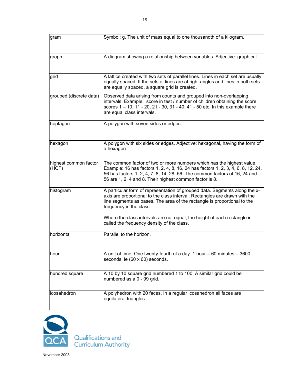| gram                           | Symbol: g. The unit of mass equal to one thousandth of a kilogram.                                                                                                                                                                                                                                 |
|--------------------------------|----------------------------------------------------------------------------------------------------------------------------------------------------------------------------------------------------------------------------------------------------------------------------------------------------|
| graph                          | A diagram showing a relationship between variables. Adjective: graphical.                                                                                                                                                                                                                          |
| grid                           | A lattice created with two sets of parallel lines. Lines in each set are usually<br>equally spaced. If the sets of lines are at right angles and lines in both sets<br>are equally spaced, a square grid is created.                                                                               |
| grouped (discrete data)        | Observed data arising from counts and grouped into non-overlapping<br>intervals. Example: score in test / number of children obtaining the score,<br>scores 1 - 10, 11 - 20, 21 - 30, 31 - 40, 41 - 50 etc. In this example there<br>are equal class intervals.                                    |
| heptagon                       | A polygon with seven sides or edges.                                                                                                                                                                                                                                                               |
| hexagon                        | A polygon with six sides or edges. Adjective: hexagonal, having the form of<br>a hexagon                                                                                                                                                                                                           |
| highest common factor<br>(HCF) | The common factor of two or more numbers which has the highest value.<br>Example: 16 has factors 1, 2, 4, 8, 16. 24 has factors 1, 2, 3, 4, 6, 8, 12, 24.<br>56 has factors 1, 2, 4, 7, 8, 14, 28, 56. The common factors of 16, 24 and<br>56 are 1, 2, 4 and 8. Their highest common factor is 8. |
| histogram                      | A particular form of representation of grouped data. Segments along the x-<br>axis are proportional to the class interval. Rectangles are drawn with the<br>line segments as bases. The area of the rectangle is proportional to the<br>frequency in the class.                                    |
|                                | Where the class intervals are not equal, the height of each rectangle is<br>called the frequency density of the class.                                                                                                                                                                             |
| horizontal                     | Parallel to the horizon.                                                                                                                                                                                                                                                                           |
| hour                           | A unit of time. One twenty-fourth of a day. 1 hour = 60 minutes = $3600$<br>seconds, ie (60 x 60) seconds.                                                                                                                                                                                         |
| hundred square                 | A 10 by 10 square grid numbered 1 to 100. A similar grid could be<br>numbered as a 0 - 99 grid.                                                                                                                                                                                                    |
| icosahedron                    | A polyhedron with 20 faces. In a regular icosahedron all faces are<br>equilateral triangles.                                                                                                                                                                                                       |

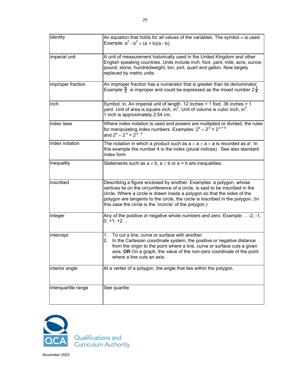| identity            | An equation that holds for all values of the variables. The symbol $\equiv$ is used.<br>Example: $a^2 - b^2 = (a + b)(a - b)$ .                                                                                                                                                                                                                                                 |
|---------------------|---------------------------------------------------------------------------------------------------------------------------------------------------------------------------------------------------------------------------------------------------------------------------------------------------------------------------------------------------------------------------------|
| imperial unit       | A unit of measurement historically used in the United Kingdom and other<br>English speaking countries. Units include inch, foot, yard, mile, acre, ounce,<br>pound, stone, hundredweight, ton, pint, quart and gallon. Now largely<br>replaced by metric units.                                                                                                                 |
| improper fraction   | An improper fraction has a numerator that is greater than its denominator.<br>Example: $\frac{9}{4}$ is improper and could be expressed as the mixed number $2\frac{1}{4}$ .                                                                                                                                                                                                    |
| inch                | Symbol: in. An imperial unit of length. 12 inches = 1 foot. 36 inches = 1<br>yard. Unit of area is square inch, in <sup>2</sup> . Unit of volume is cubic inch, in <sup>3</sup> .<br>1 inch is approximately 2.54 cm.                                                                                                                                                           |
| index laws          | Where index notation is used and powers are multiplied or divided, the rules<br>for manipulating index numbers. Examples: $2^a \times 2^b = 2^{a + b}$<br>and $2^a \div 2^b = 2^{a - b}$                                                                                                                                                                                        |
| index notation      | The notation in which a product such as $a \times a \times a \times a$ is recorded as $a^4$ . In<br>this example the number 4 is the index (plural indices) See also standard<br>index form                                                                                                                                                                                     |
| inequality          | Statements such as $a \ne b$ , $a \le b$ or $a > b$ are inequalities.                                                                                                                                                                                                                                                                                                           |
| inscribed           | Describing a figure enclosed by another. Examples: a polygon, whose<br>vertices lie on the circumference of a circle, is said to be inscribed in the<br>circle. Where a circle is drawn inside a polygon so that the sides of the<br>polygon are tangents to the circle, the circle is inscribed in the polygon. (In<br>this case the circle is the 'incircle' of the polygon.) |
| integer             | Any of the positive or negative whole numbers and zero. Example: -2, -1,<br>$0, +1, +2$                                                                                                                                                                                                                                                                                         |
| intercept           | To cut a line, curve or surface with another.<br>1.<br>In the Cartesian coordinate system, the positive or negative distance<br>2.<br>from the origin to the point where a line, curve or surface cuts a given<br>axis. OR On a graph, the value of the non-zero coordinate of the point<br>where a line cuts an axis.                                                          |
| interior angle      | At a vertex of a polygon, the angle that lies within the polygon.                                                                                                                                                                                                                                                                                                               |
| interquartile range | See quartile                                                                                                                                                                                                                                                                                                                                                                    |

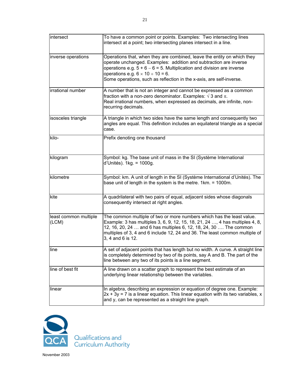| intersect                      | To have a common point or points. Examples: Two intersecting lines<br>intersect at a point; two intersecting planes intersect in a line.                                                                                                                                                                                                         |
|--------------------------------|--------------------------------------------------------------------------------------------------------------------------------------------------------------------------------------------------------------------------------------------------------------------------------------------------------------------------------------------------|
| inverse operations             | Operations that, when they are combined, leave the entity on which they<br>operate unchanged. Examples: addition and subtraction are inverse<br>operations e.g. $5 + 6 - 6 = 5$ . Multiplication and division are inverse<br>operations e.g. $6 \times 10 \div 10 = 6$ .<br>Some operations, such as reflection in the x-axis, are self-inverse. |
| irrational number              | A number that is not an integer and cannot be expressed as a common<br>fraction with a non-zero denominator. Examples: $\sqrt{3}$ and $\pi$ .<br>Real irrational numbers, when expressed as decimals, are infinite, non-<br>recurring decimals.                                                                                                  |
| isosceles triangle             | A triangle in which two sides have the same length and consequently two<br>angles are equal. This definition includes an equilateral triangle as a special<br>case.                                                                                                                                                                              |
| kilo-                          | Prefix denoting one thousand                                                                                                                                                                                                                                                                                                                     |
| kilogram                       | Symbol: kg. The base unit of mass in the SI (Système International<br>d'Unités). 1kg. = 1000g.                                                                                                                                                                                                                                                   |
| kilometre                      | Symbol: km. A unit of length in the SI (Système International d'Unités). The<br>base unit of length in the system is the metre. 1km. = 1000m.                                                                                                                                                                                                    |
| kite                           | A quadrilateral with two pairs of equal, adjacent sides whose diagonals<br>consequently intersect at right angles.                                                                                                                                                                                                                               |
| least common multiple<br>(LCM) | The common multiple of two or more numbers which has the least value.<br>Example: 3 has multiples 3, 6, 9, 12, 15, 18, 21, 24 , 4 has multiples 4, 8,<br>12, 16, 20, 24  and 6 has multiples 6, 12, 18, 24, 30  The common<br>multiples of 3, 4 and 6 include 12, 24 and 36. The least common multiple of<br>3, 4 and 6 is 12.                   |
| line                           | A set of adjacent points that has length but no width. A curve. A straight line<br>is completely determined by two of its points, say A and B. The part of the<br>line between any two of its points is a line segment.                                                                                                                          |
| line of best fit               | A line drawn on a scatter graph to represent the best estimate of an<br>underlying linear relationship between the variables.                                                                                                                                                                                                                    |
| linear                         | In algebra, describing an expression or equation of degree one. Example:<br>$2x + 3y = 7$ is a linear equation. This linear equation with its two variables, x<br>and y, can be represented as a straight line graph.                                                                                                                            |

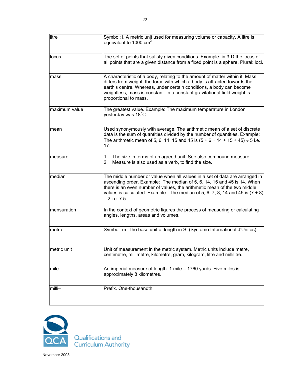| litre         | Symbol: I. A metric unit used for measuring volume or capacity. A litre is<br>equivalent to 1000 cm <sup>3</sup> .                                                                                                                                                                                                                          |
|---------------|---------------------------------------------------------------------------------------------------------------------------------------------------------------------------------------------------------------------------------------------------------------------------------------------------------------------------------------------|
| locus         | The set of points that satisfy given conditions. Example: in 3-D the locus of<br>all points that are a given distance from a fixed point is a sphere. Plural: loci.                                                                                                                                                                         |
| mass          | A characteristic of a body, relating to the amount of matter within it. Mass<br>differs from weight, the force with which a body is attracted towards the<br>earth's centre. Whereas, under certain conditions, a body can become<br>weightless, mass is constant. In a constant gravitational field weight is<br>proportional to mass.     |
| maximum value | The greatest value. Example: The maximum temperature in London<br>yesterday was 18°C.                                                                                                                                                                                                                                                       |
| mean          | Used synonymously with average. The arithmetic mean of a set of discrete<br>data is the sum of quantities divided by the number of quantities. Example:<br>The arithmetic mean of 5, 6, 14, 15 and 45 is $(5 + 6 + 14 + 15 + 45) \div 5$ i.e.<br>17.                                                                                        |
| measure       | The size in terms of an agreed unit. See also compound measure.<br>1.<br>Measure is also used as a verb, to find the size.<br>2.                                                                                                                                                                                                            |
| median        | The middle number or value when all values in a set of data are arranged in<br>ascending order. Example: The median of 5, 6, 14, 15 and 45 is 14. When<br>there is an even number of values, the arithmetic mean of the two middle<br>values is calculated. Example: The median of 5, 6, 7, 8, 14 and 45 is $(7 + 8)$<br>$\div$ 2 i.e. 7.5. |
| mensuration   | In the context of geometric figures the process of measuring or calculating<br>angles, lengths, areas and volumes.                                                                                                                                                                                                                          |
| metre         | Symbol: m. The base unit of length in SI (Système International d'Unités).                                                                                                                                                                                                                                                                  |
| metric unit   | Unit of measurement in the metric system. Metric units include metre,<br>centimetre, millimetre, kilometre, gram, kilogram, litre and millilitre.                                                                                                                                                                                           |
| mile          | An imperial measure of length. 1 mile = 1760 yards. Five miles is<br>approximately 8 kilometres.                                                                                                                                                                                                                                            |
| milli-        | Prefix. One-thousandth.                                                                                                                                                                                                                                                                                                                     |

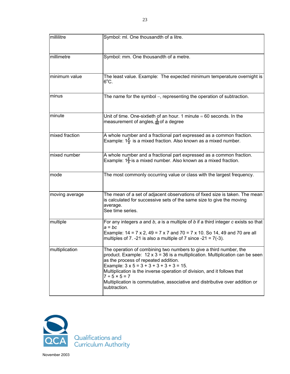| millilitre     | Symbol: ml. One thousandth of a litre.                                                                                                                                                                                                                                                                                                                                                                                                                |
|----------------|-------------------------------------------------------------------------------------------------------------------------------------------------------------------------------------------------------------------------------------------------------------------------------------------------------------------------------------------------------------------------------------------------------------------------------------------------------|
|                |                                                                                                                                                                                                                                                                                                                                                                                                                                                       |
| millimetre     | Symbol: mm. One thousandth of a metre.                                                                                                                                                                                                                                                                                                                                                                                                                |
| minimum value  | The least value. Example: The expected minimum temperature overnight is<br>$6^{\circ}$ C.                                                                                                                                                                                                                                                                                                                                                             |
| minus          | The name for the symbol –, representing the operation of subtraction.                                                                                                                                                                                                                                                                                                                                                                                 |
| minute         | Unit of time. One-sixtieth of an hour. 1 minute $= 60$ seconds. In the<br>measurement of angles, $\frac{1}{60}$ of a degree                                                                                                                                                                                                                                                                                                                           |
| mixed fraction | A whole number and a fractional part expressed as a common fraction.<br>Example: $1\frac{2}{3}$ is a mixed fraction. Also known as a mixed number.                                                                                                                                                                                                                                                                                                    |
| mixed number   | A whole number and a fractional part expressed as a common fraction.<br>Example: $1\frac{2}{3}$ is a mixed number. Also known as a mixed fraction.                                                                                                                                                                                                                                                                                                    |
| mode           | The most commonly occurring value or class with the largest frequency.                                                                                                                                                                                                                                                                                                                                                                                |
| moving average | The mean of a set of adjacent observations of fixed size is taken. The mean<br>is calculated for successive sets of the same size to give the moving<br>average.<br>See time series.                                                                                                                                                                                                                                                                  |
| multiple       | For any integers $a$ and $b$ , $a$ is a multiple of $b$ if a third integer $c$ exists so that<br>$a = bc$<br>Example: $14 = 7 \times 2$ , $49 = 7 \times 7$ and $70 = 7 \times 10$ . So 14, 49 and 70 are all<br>multiples of 7. -21 is also a multiple of 7 since -21 = $7(-3)$ .                                                                                                                                                                    |
| multiplication | The operation of combining two numbers to give a third number, the<br>product. Example: $12 \times 3 = 36$ is a multiplication. Multiplication can be seen<br>as the process of repeated addition.<br>Example: $3 \times 5 = 3 + 3 + 3 + 3 + 3 = 15$ .<br>Multiplication is the inverse operation of division, and it follows that<br>$7 ÷ 5 × 5 = 7$<br>Multiplication is commutative, associative and distributive over addition or<br>subtraction. |

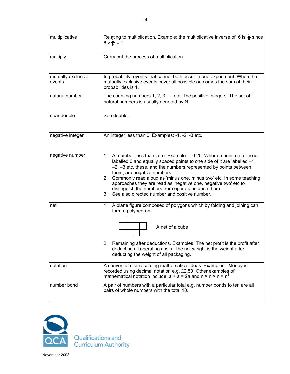| multiplicative               | Relating to multiplication. Example: the multiplicative inverse of 6 is $\frac{1}{6}$ since<br>$6 \times \frac{1}{6} = 1$                                                                                                                                                                                                                                                                                                                                                                                                       |
|------------------------------|---------------------------------------------------------------------------------------------------------------------------------------------------------------------------------------------------------------------------------------------------------------------------------------------------------------------------------------------------------------------------------------------------------------------------------------------------------------------------------------------------------------------------------|
| multiply                     | Carry out the process of multiplication.                                                                                                                                                                                                                                                                                                                                                                                                                                                                                        |
| mutually exclusive<br>events | In probability, events that cannot both occur in one experiment. When the<br>mutually exclusive events cover all possible outcomes the sum of their<br>probabilities is 1.                                                                                                                                                                                                                                                                                                                                                      |
| natural number               | The counting numbers 1, 2, 3,  etc. The positive integers. The set of<br>natural numbers is usually denoted by N.                                                                                                                                                                                                                                                                                                                                                                                                               |
| near double                  | See double.                                                                                                                                                                                                                                                                                                                                                                                                                                                                                                                     |
| negative integer             | An integer less than 0. Examples: -1, -2, -3 etc.                                                                                                                                                                                                                                                                                                                                                                                                                                                                               |
| negative number              | At number less than zero. Example: $-0.25$ . Where a point on a line is<br>1.<br>labelled 0 and equally spaced points to one side of it are labelled $-1$ ,<br>$-2$ , $-3$ etc, these, and the numbers represented by points between<br>them, are negative numbers<br>Commonly read aloud as 'minus one, minus two' etc. In some teaching<br>2.<br>approaches they are read as 'negative one, negative two' etc to<br>distinguish the numbers from operations upon them.<br>See also directed number and positive number.<br>3. |
| net                          | A plane figure composed of polygons which by folding and joining can<br>1.<br>form a polyhedron.<br>A net of a cube<br>Remaining after deductions. Examples: The net profit is the profit after<br>2.<br>deducting all operating costs. The net weight is the weight after<br>deducting the weight of all packaging.                                                                                                                                                                                                            |
| notation                     | A convention for recording mathematical ideas. Examples: Money is<br>recorded using decimal notation e.g. £2.50 Other examples of<br>mathematical notation include $a + a = 2a$ and $n \times n \times n = n^3$                                                                                                                                                                                                                                                                                                                 |
| number bond                  | A pair of numbers with a particular total e.g. number bonds to ten are all<br>pairs of whole numbers with the total 10.                                                                                                                                                                                                                                                                                                                                                                                                         |

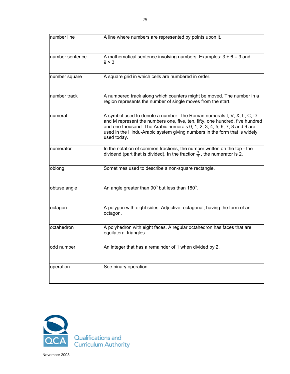| number line     | A line where numbers are represented by points upon it.                                                                                                                                                                                                                                                                        |
|-----------------|--------------------------------------------------------------------------------------------------------------------------------------------------------------------------------------------------------------------------------------------------------------------------------------------------------------------------------|
| number sentence | A mathematical sentence involving numbers. Examples: $3 + 6 = 9$ and<br>9 > 3                                                                                                                                                                                                                                                  |
| number square   | A square grid in which cells are numbered in order.                                                                                                                                                                                                                                                                            |
| number track    | A numbered track along which counters might be moved. The number in a<br>region represents the number of single moves from the start.                                                                                                                                                                                          |
| numeral         | A symbol used to denote a number. The Roman numerals I, V, X, L, C, D<br>and M represent the numbers one, five, ten, fifty, one hundred, five hundred<br>and one thousand. The Arabic numerals 0, 1, 2, 3, 4, 5, 6, 7, 8 and 9 are<br>used in the Hindu-Arabic system giving numbers in the form that is widely<br>used today. |
| numerator       | In the notation of common fractions, the number written on the top - the<br>dividend (part that is divided). In the fraction $\frac{2}{3}$ , the numerator is 2.                                                                                                                                                               |
| oblong          | Sometimes used to describe a non-square rectangle.                                                                                                                                                                                                                                                                             |
| obtuse angle    | An angle greater than 90° but less than 180°.                                                                                                                                                                                                                                                                                  |
| octagon         | A polygon with eight sides. Adjective: octagonal, having the form of an<br>octagon.                                                                                                                                                                                                                                            |
| octahedron      | A polyhedron with eight faces. A regular octahedron has faces that are<br>equilateral triangles.                                                                                                                                                                                                                               |
| odd number      | An integer that has a remainder of 1 when divided by 2.                                                                                                                                                                                                                                                                        |
| operation       | See binary operation                                                                                                                                                                                                                                                                                                           |

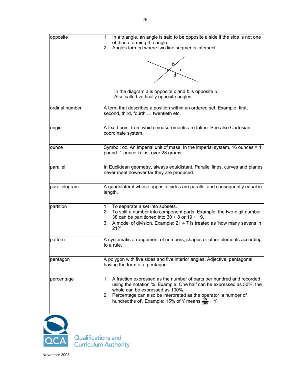

Qualifications and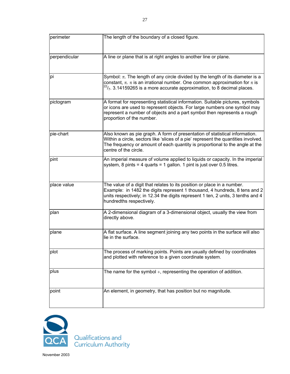| perimeter     | The length of the boundary of a closed figure.                                                                                                                                                                                                                             |
|---------------|----------------------------------------------------------------------------------------------------------------------------------------------------------------------------------------------------------------------------------------------------------------------------|
| perpendicular | A line or plane that is at right angles to another line or plane.                                                                                                                                                                                                          |
| pi            | Symbol: $\pi$ . The length of any circle divided by the length of its diameter is a<br>constant, $\pi$ . $\pi$ is an irrational number. One common approximation for $\pi$ is<br>$^{22}/_{7}$ . 3.14159265 is a more accurate approximation, to 8 decimal places.          |
| pictogram     | A format for representing statistical information. Suitable pictures, symbols<br>or icons are used to represent objects. For large numbers one symbol may<br>represent a number of objects and a part symbol then represents a rough<br>proportion of the number.          |
| pie-chart     | Also known as pie graph. A form of presentation of statistical information.<br>Within a circle, sectors like 'slices of a pie' represent the quantities involved.<br>The frequency or amount of each quantity is proportional to the angle at the<br>centre of the circle. |
| pint          | An imperial measure of volume applied to liquids or capacity. In the imperial<br>system, 8 pints = 4 quarts = 1 gallon. 1 pint is just over 0.5 litres.                                                                                                                    |
| place value   | The value of a digit that relates to its position or place in a number.<br>Example: in 1482 the digits represent 1 thousand, 4 hundreds, 8 tens and 2<br>units respectively; in 12.34 the digits represent 1 ten, 2 units, 3 tenths and 4<br>hundredths respectively.      |
| plan          | A 2-dimensional diagram of a 3-dimensional object, usually the view from<br>directly above.                                                                                                                                                                                |
| plane         | A flat surface. A line segment joining any two points in the surface will also<br>lie in the surface.                                                                                                                                                                      |
| plot          | The process of marking points. Points are usually defined by coordinates<br>and plotted with reference to a given coordinate system.                                                                                                                                       |
| plus          | The name for the symbol $+$ , representing the operation of addition.                                                                                                                                                                                                      |
| point         | An element, in geometry, that has position but no magnitude.                                                                                                                                                                                                               |



Qualifications and<br>Curriculum Authority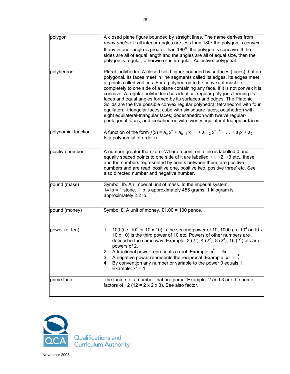| polygon             | A closed plane figure bounded by straight lines. The name derives from<br>many angles. If all interior angles are less than 180° the polygon is convex.<br>If any interior angle is greater than $180^\circ$ , the polygon is concave. If the<br>sides are all of equal length and the angles are all of equal size, then the<br>polygon is regular; otherwise it is irregular. Adjective: polygonal.                                                                                                                                                                                                                                                                                                                                                                                               |
|---------------------|-----------------------------------------------------------------------------------------------------------------------------------------------------------------------------------------------------------------------------------------------------------------------------------------------------------------------------------------------------------------------------------------------------------------------------------------------------------------------------------------------------------------------------------------------------------------------------------------------------------------------------------------------------------------------------------------------------------------------------------------------------------------------------------------------------|
| polyhedron          | Plural: polyhedra. A closed solid figure bounded by surfaces (faces) that are<br>polygonal. Its faces meet in line segments called its edges. Its edges meet<br>at points called vertices. For a polyhedron to be convex, it must lie<br>completely to one side of a plane containing any face. If it is not convex it is<br>concave. A regular polyhedron has identical regular polygons forming its<br>faces and equal angles formed by its surfaces and edges. The Platonic<br>Solids are the five possible convex regular polyhedra: tetrahedron with four<br>equilateral-triangular faces; cube with six square faces; octahedron with<br>eight equilateral-triangular faces; dodecahedron with twelve regular-<br>pentagonal faces; and icosahedron with twenty equilateral-triangular faces. |
| polynomial function | A function of the form $f(x) = a_n x^n + a_{n-1} x^{n-1} + a_{n-2} x^{n-2} +  + a_1 x + a_0$<br>Is a polynomial of order n                                                                                                                                                                                                                                                                                                                                                                                                                                                                                                                                                                                                                                                                          |
| positive number     | A number greater than zero. Where a point on a line is labelled 0 and<br>equally spaced points to one side of it are labelled $+1$ , $+2$ , $+3$ etc., these,<br>and the numbers represented by points between them, are positive<br>numbers and are read 'positive one, positive two, positive three' etc. See<br>also directed number and negative number.                                                                                                                                                                                                                                                                                                                                                                                                                                        |
| pound (mass)        | Symbol: Ib. An imperial unit of mass. In the imperial system,<br>14 lb = 1 stone. 1 lb is approximately 455 grams. 1 kilogram is<br>approximately 2.2 lb.                                                                                                                                                                                                                                                                                                                                                                                                                                                                                                                                                                                                                                           |
| pound (money)       | Symbol £. A unit of money. £1.00 = 100 pence.                                                                                                                                                                                                                                                                                                                                                                                                                                                                                                                                                                                                                                                                                                                                                       |
| power (of ten)      | 100 (i.e. $10^2$ or 10 x 10) is the second power of 10, 1000 (i.e. 10 <sup>3</sup> or 10 x<br>1.<br>10 x 10) is the third power of 10 etc. Powers of other numbers are<br>defined in the same way. Example: 2 ( $2^1$ ), 4 ( $2^2$ ), 8 ( $2^3$ ), 16 ( $2^4$ ) etc are<br>powers of 2.<br>A fractional power represents a root. Example: $x^{\frac{1}{2}} = \sqrt{x}$<br>2.<br>A negative power represents the reciprocal. Example: $x^{-1} = \frac{1}{x}$<br>3.<br>By convention any number or variable to the power 0 equals 1.<br>4.<br>Example: $x^0 = 1$                                                                                                                                                                                                                                      |
| prime factor        | The factors of a number that are prime. Example: 2 and 3 are the prime<br>factors of 12 (12 = $2 \times 2 \times 3$ ). See also factor.                                                                                                                                                                                                                                                                                                                                                                                                                                                                                                                                                                                                                                                             |

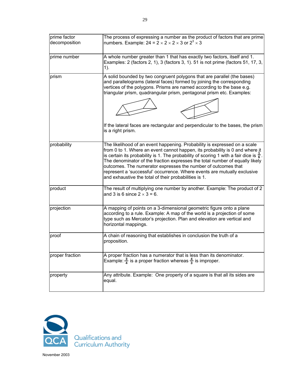| prime factor    | The process of expressing a number as the product of factors that are prime                                                                                                                                                                                                                                                                                                                                                                                                                                                                          |
|-----------------|------------------------------------------------------------------------------------------------------------------------------------------------------------------------------------------------------------------------------------------------------------------------------------------------------------------------------------------------------------------------------------------------------------------------------------------------------------------------------------------------------------------------------------------------------|
| decomposition   | numbers. Example: 24 = $2 \times 2 \times 2 \times 3$ or $2^3 \times 3$                                                                                                                                                                                                                                                                                                                                                                                                                                                                              |
| prime number    | A whole number greater than 1 that has exactly two factors, itself and 1.<br>Examples: 2 (factors 2, 1), 3 (factors 3, 1). 51 is not prime (factors 51, 17, 3,<br>$1$ ).                                                                                                                                                                                                                                                                                                                                                                             |
| prism           | A solid bounded by two congruent polygons that are parallel (the bases)<br>and parallelograms (lateral faces) formed by joining the corresponding<br>vertices of the polygons. Prisms are named according to the base e.g.<br>triangular prism, quadrangular prism, pentagonal prism etc. Examples:<br>If the lateral faces are rectangular and perpendicular to the bases, the prism<br>is a right prism.                                                                                                                                           |
| probability     | The likelihood of an event happening. Probability is expressed on a scale<br>from 0 to 1. Where an event cannot happen, its probability is 0 and where jt<br>is certain its probability is 1. The probability of scoring 1 with a fair dice is $\frac{1}{6}$ .<br>The denominator of the fraction expresses the total number of equally likely<br>outcomes. The numerator expresses the number of outcomes that<br>represent a 'successful' occurrence. Where events are mutually exclusive<br>and exhaustive the total of their probabilities is 1. |
| product         | The result of multiplying one number by another. Example: The product of 2<br>and 3 is 6 since $2 \times 3 = 6$ .                                                                                                                                                                                                                                                                                                                                                                                                                                    |
| projection      | A mapping of points on a 3-dimensional geometric figure onto a plane<br>according to a rule. Example: A map of the world is a projection of some<br>type such as Mercator's projection. Plan and elevation are vertical and<br>horizontal mappings.                                                                                                                                                                                                                                                                                                  |
| proof           | A chain of reasoning that establishes in conclusion the truth of a<br>proposition.                                                                                                                                                                                                                                                                                                                                                                                                                                                                   |
| proper fraction | A proper fraction has a numerator that is less than its denominator.<br>Example: $\frac{3}{4}$ is a proper fraction whereas $\frac{4}{3}$ is improper.                                                                                                                                                                                                                                                                                                                                                                                               |
| property        | Any attribute. Example: One property of a square is that all its sides are<br>equal.                                                                                                                                                                                                                                                                                                                                                                                                                                                                 |

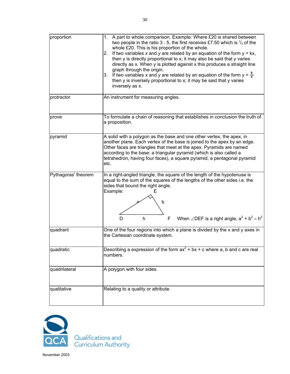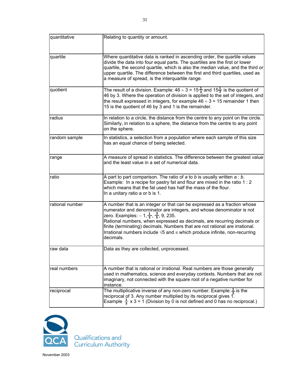| quantitative    | Relating to quantity or amount.                                                                                                                                                                                                                                                                                                                                                                                                                                               |
|-----------------|-------------------------------------------------------------------------------------------------------------------------------------------------------------------------------------------------------------------------------------------------------------------------------------------------------------------------------------------------------------------------------------------------------------------------------------------------------------------------------|
| quartile        | Where quantitative data is ranked in ascending order, the quartile values<br>divide the data into four equal parts. The quartiles are the first or lower<br>quartile, the second quartile, which is also the median value, and the third or<br>upper quartile. The difference between the first and third quartiles, used as<br>a measure of spread, is the interquartile range.                                                                                              |
| quotient        | The result of a division. Example: 46 ÷ 3 = 15 $\frac{1}{3}$ and 15 $\frac{1}{3}$ is the quotient of<br>46 by 3. Where the operation of division is applied to the set of integers, and<br>the result expressed in integers, for example $46 \div 3 = 15$ remainder 1 then<br>15 is the quotient of 46 by 3 and 1 is the remainder.                                                                                                                                           |
| radius          | In relation to a circle, the distance from the centre to any point on the circle.<br>Similarly, in relation to a sphere, the distance from the centre to any point<br>on the sphere.                                                                                                                                                                                                                                                                                          |
| random sample   | In statistics, a selection from a population where each sample of this size<br>has an equal chance of being selected.                                                                                                                                                                                                                                                                                                                                                         |
| range           | A measure of spread in statistics. The difference between the greatest value<br>and the least value in a set of numerical data.                                                                                                                                                                                                                                                                                                                                               |
| ratio           | A part to part comparison. The ratio of $a$ to $b$ is usually written $a:b$ .<br>Example: In a recipe for pastry fat and flour are mixed in the ratio $1:2$<br>which means that the fat used has half the mass of the flour.<br>In a unitary ratio a or b is 1.                                                                                                                                                                                                               |
| rational number | A number that is an integer or that can be expressed as a fraction whose<br>numerator and denominator are integers, and whose denominator is not<br>zero. Examples: $-1, \frac{1}{3}, \frac{3}{5}, 9, 235$ .<br>Rational numbers, when expressed as decimals, are recurring decimals or<br>finite (terminating) decimals. Numbers that are not rational are irrational.<br>Irrational numbers include $\sqrt{5}$ and $\pi$ which produce infinite, non-recurring<br>decimals. |
| raw data        | Data as they are collected, unprocessed.                                                                                                                                                                                                                                                                                                                                                                                                                                      |
| real numbers    | A number that is rational or irrational. Real numbers are those generally<br>used in mathematics, science and everyday contexts. Numbers that are not<br>imaginary, not connected with the square root of a negative number for<br>instance.                                                                                                                                                                                                                                  |
| reciprocal      | The multiplicative inverse of any non-zero number. Example: $\frac{1}{2}$ is the<br>reciprocal of 3. Any number multiplied by its reciprocal gives 1.<br>Example $\frac{1}{3} \times 3 = 1$ (Division by 0 is not defined and 0 has no reciprocal.)                                                                                                                                                                                                                           |

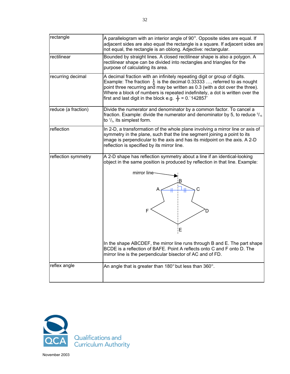| rectangle           | A parallelogram with an interior angle of $90^\circ$ . Opposite sides are equal. If<br>adjacent sides are also equal the rectangle is a square. If adjacent sides are<br>not equal, the rectangle is an oblong. Adjective: rectangular.                                                                                                                                                             |
|---------------------|-----------------------------------------------------------------------------------------------------------------------------------------------------------------------------------------------------------------------------------------------------------------------------------------------------------------------------------------------------------------------------------------------------|
| rectilinear         | Bounded by straight lines. A closed rectilinear shape is also a polygon. A<br>rectilinear shape can be divided into rectangles and triangles for the<br>purpose of calculating its area.                                                                                                                                                                                                            |
| recurring decimal   | A decimal fraction with an infinitely repeating digit or group of digits.<br>Example: The fraction $\frac{1}{3}$ is the decimal 0.33333 , referred to as nought<br>point three recurring and may be written as 0.3 (with a dot over the three).<br>Where a block of numbers is repeated indefinitely, a dot is written over the<br>first and last digit in the block e.g. $\frac{1}{7}$ = 0. 142857 |
| reduce (a fraction) | Divide the numerator and denominator by a common factor. To cancel a<br>fraction. Example: divide the numerator and denominator by 5, to reduce $\frac{5}{15}$<br>to $\frac{1}{3}$ , its simplest form.                                                                                                                                                                                             |
| reflection          | In 2-D, a transformation of the whole plane involving a mirror line or axis of<br>symmetry in the plane, such that the line segment joining a point to its<br>image is perpendicular to the axis and has its midpoint on the axis. A 2-D<br>reflection is specified by its mirror line.                                                                                                             |
| reflection symmetry | A 2-D shape has reflection symmetry about a line if an identical-looking<br>object in the same position is produced by reflection in that line. Example:                                                                                                                                                                                                                                            |
|                     | mirror line<br>Α<br>F<br>ίE                                                                                                                                                                                                                                                                                                                                                                         |
|                     | In the shape ABCDEF, the mirror line runs through B and E. The part shape<br>BCDE is a reflection of BAFE. Point A reflects onto C and F onto D. The<br>mirror line is the perpendicular bisector of AC and of FD.                                                                                                                                                                                  |
| reflex angle        | An angle that is greater than $180^\circ$ but less than $360^\circ$ .                                                                                                                                                                                                                                                                                                                               |

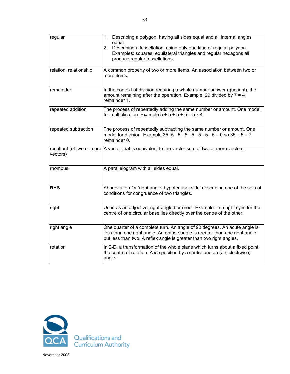| regular                | 1. Describing a polygon, having all sides equal and all internal angles<br>equal.<br>Describing a tessellation, using only one kind of regular polygon.<br>2.                                                                  |
|------------------------|--------------------------------------------------------------------------------------------------------------------------------------------------------------------------------------------------------------------------------|
|                        | Examples: squares, equilateral triangles and regular hexagons all<br>produce regular tessellations.                                                                                                                            |
| relation, relationship | A common property of two or more items. An association between two or<br>more items.                                                                                                                                           |
| remainder              | In the context of division requiring a whole number answer (quotient), the<br>amount remaining after the operation. Example: 29 divided by $7 = 4$<br>remainder 1.                                                             |
| repeated addition      | The process of repeatedly adding the same number or amount. One model<br>for multiplication. Example $5 + 5 + 5 + 5 = 5 \times 4$ .                                                                                            |
| repeated subtraction   | The process of repeatedly subtracting the same number or amount. One<br>model for division. Example 35 -5 - 5 - 5 - 5 - 5 - 5 - 5 - 5 = 0 so $35 \div 5 = 7$<br>remainder 0.                                                   |
| vectors)               | resultant (of two or more A vector that is equivalent to the vector sum of two or more vectors.                                                                                                                                |
| rhombus                | A parallelogram with all sides equal.                                                                                                                                                                                          |
| <b>RHS</b>             | Abbreviation for 'right angle, hypotenuse, side' describing one of the sets of<br>conditions for congruence of two triangles.                                                                                                  |
| right                  | Used as an adjective, right-angled or erect. Example: In a right cylinder the<br>centre of one circular base lies directly over the centre of the other.                                                                       |
| right angle            | One quarter of a complete turn. An angle of 90 degrees. An acute angle is<br>less than one right angle. An obtuse angle is greater than one right angle<br>but less than two. A reflex angle is greater than two right angles. |
| rotation               | In 2-D, a transformation of the whole plane which turns about a fixed point,<br>the centre of rotation. A is specified by a centre and an (anticlockwise)<br>angle.                                                            |

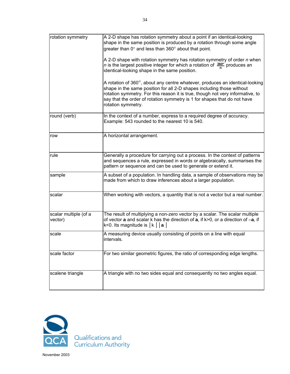| rotation symmetry                | A 2-D shape has rotation symmetry about a point if an identical-looking<br>shape in the same position is produced by a rotation through some angle<br>greater than 0° and less than 360° about that point.<br>A 2-D shape with rotation symmetry has rotation symmetry of order n when<br><i>n</i> is the largest positive integer for which a rotation of $\frac{360^{\circ}}{n}$ produces an<br>identical-looking shape in the same position. |
|----------------------------------|-------------------------------------------------------------------------------------------------------------------------------------------------------------------------------------------------------------------------------------------------------------------------------------------------------------------------------------------------------------------------------------------------------------------------------------------------|
|                                  | A rotation of 360°, about any centre whatever, produces an identical-looking<br>shape in the same position for all 2-D shapes including those without<br>rotation symmetry. For this reason it is true, though not very informative, to<br>say that the order of rotation symmetry is 1 for shapes that do not have<br>rotation symmetry.                                                                                                       |
| round (verb)                     | In the context of a number, express to a required degree of accuracy.<br>Example: 543 rounded to the nearest 10 is 540.                                                                                                                                                                                                                                                                                                                         |
| row                              | A horizontal arrangement.                                                                                                                                                                                                                                                                                                                                                                                                                       |
| rule                             | Generally a procedure for carrying out a process. In the context of patterns<br>and sequences a rule, expressed in words or algebraically, summarises the<br>pattern or sequence and can be used to generate or extend it.                                                                                                                                                                                                                      |
| sample                           | A subset of a population. In handling data, a sample of observations may be<br>made from which to draw inferences about a larger population.                                                                                                                                                                                                                                                                                                    |
| scalar                           | When working with vectors, a quantity that is not a vector but a real number.                                                                                                                                                                                                                                                                                                                                                                   |
| scalar multiple (of a<br>vector) | The result of multiplying a non-zero vector by a scalar. The scalar multiple<br>of vector a and scalar k has the direction of a, if k>0, or a direction of -a, if<br>k<0. Its magnitude is $ k $   a                                                                                                                                                                                                                                            |
| scale                            | A measuring device usually consisting of points on a line with equal<br>intervals.                                                                                                                                                                                                                                                                                                                                                              |
| scale factor                     | For two similar geometric figures, the ratio of corresponding edge lengths.                                                                                                                                                                                                                                                                                                                                                                     |
| scalene triangle                 | A triangle with no two sides equal and consequently no two angles equal.                                                                                                                                                                                                                                                                                                                                                                        |

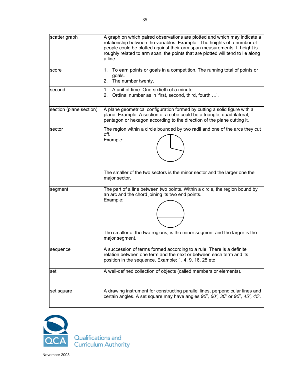| scatter graph           | A graph on which paired observations are plotted and which may indicate a<br>relationship between the variables. Example: The heights of a number of<br>people could be plotted against their arm span measurements. If height is<br>roughly related to arm span, the points that are plotted will tend to lie along<br>a line. |
|-------------------------|---------------------------------------------------------------------------------------------------------------------------------------------------------------------------------------------------------------------------------------------------------------------------------------------------------------------------------|
| score                   | To earn points or goals in a competition. The running total of points or<br>1.<br>goals.<br>2. The number twenty.                                                                                                                                                                                                               |
| second                  | 1. A unit of time. One-sixtieth of a minute.<br>2. Ordinal number as in 'first, second, third, fourth '.                                                                                                                                                                                                                        |
| section (plane section) | A plane geometrical configuration formed by cutting a solid figure with a<br>plane. Example: A section of a cube could be a triangle, quadrilateral,<br>pentagon or hexagon according to the direction of the plane cutting it.                                                                                                 |
| sector                  | The region within a circle bounded by two radii and one of the arcs they cut<br>off.<br>Example:<br>The smaller of the two sectors is the minor sector and the larger one the                                                                                                                                                   |
|                         | major sector.                                                                                                                                                                                                                                                                                                                   |
| segment                 | The part of a line between two points. Within a circle, the region bound by<br>an arc and the chord joining its two end points.<br>Example:                                                                                                                                                                                     |
|                         | The smaller of the two regions, is the minor segment and the larger is the<br>major segment.                                                                                                                                                                                                                                    |
| sequence                | A succession of terms formed according to a rule. There is a definite<br>relation between one term and the next or between each term and its<br>position in the sequence. Example: 1, 4, 9, 16, 25 etc                                                                                                                          |
| set                     | A well-defined collection of objects (called members or elements).                                                                                                                                                                                                                                                              |
| set square              | A drawing instrument for constructing parallel lines, perpendicular lines and<br>certain angles. A set square may have angles $90^{\circ}$ , $60^{\circ}$ , $30^{\circ}$ or $90^{\circ}$ , $45^{\circ}$ , $45^{\circ}$ .                                                                                                        |



Qualifications and<br>Curriculum Authority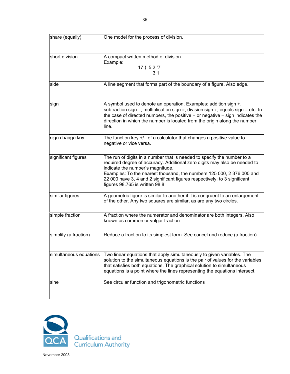| share (equally)        | One model for the process of division.                                                                                                                                                                                                                                                                                                                                           |
|------------------------|----------------------------------------------------------------------------------------------------------------------------------------------------------------------------------------------------------------------------------------------------------------------------------------------------------------------------------------------------------------------------------|
| short division         | A compact written method of division.<br>Example:<br>$\frac{17}{\frac{52}{31}}$                                                                                                                                                                                                                                                                                                  |
| side                   | A line segment that forms part of the boundary of a figure. Also edge.                                                                                                                                                                                                                                                                                                           |
| sign                   | A symbol used to denote an operation. Examples: addition sign +,<br>subtraction sign –, multiplication sign $\times$ , division sign $\div$ , equals sign = etc. In<br>the case of directed numbers, the positive $+$ or negative $-$ sign indicates the<br>direction in which the number is located from the origin along the number<br>line.                                   |
| sign change key        | The function key $+/-$ of a calculator that changes a positive value to<br>negative or vice versa.                                                                                                                                                                                                                                                                               |
| significant figures    | The run of digits in a number that is needed to specify the number to a<br>required degree of accuracy. Additional zero digits may also be needed to<br>indicate the number's magnitude.<br>Examples: To the nearest thousand, the numbers 125 000, 2 376 000 and<br>22 000 have 3, 4 and 2 significant figures respectively; to 3 significant<br>figures 98.765 is written 98.8 |
| similar figures        | A geometric figure is similar to another if it is congruent to an enlargement<br>of the other. Any two squares are similar, as are any two circles.                                                                                                                                                                                                                              |
| simple fraction        | A fraction where the numerator and denominator are both integers. Also<br>known as common or vulgar fraction.                                                                                                                                                                                                                                                                    |
| simplify (a fraction)  | Reduce a fraction to its simplest form. See cancel and reduce (a fraction).                                                                                                                                                                                                                                                                                                      |
| simultaneous equations | Two linear equations that apply simultaneously to given variables. The<br>solution to the simultaneous equations is the pair of values for the variables<br>that satisfies both equations. The graphical solution to simultaneous<br>equations is a point where the lines representing the equations intersect.                                                                  |
| sine                   | See circular function and trigonometric functions                                                                                                                                                                                                                                                                                                                                |

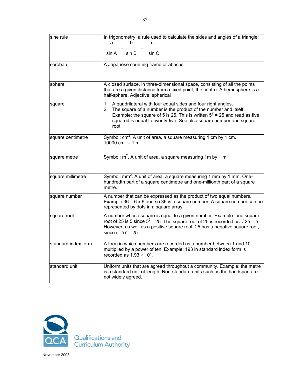| sine rule           | In trigonometry, a rule used to calculate the sides and angles of a triangle:<br>b<br>а                                                                                                                                                                                                                |
|---------------------|--------------------------------------------------------------------------------------------------------------------------------------------------------------------------------------------------------------------------------------------------------------------------------------------------------|
|                     |                                                                                                                                                                                                                                                                                                        |
|                     | sin A<br>sin B<br>sin C                                                                                                                                                                                                                                                                                |
| soroban             | A Japanese counting frame or abacus                                                                                                                                                                                                                                                                    |
|                     |                                                                                                                                                                                                                                                                                                        |
| sphere              | A closed surface, in three-dimensional space, consisting of all the points<br>that are a given distance from a fixed point, the centre. A hemi-sphere is a<br>half-sphere. Adjective: spherical                                                                                                        |
| square              | 1. A quadrilateral with four equal sides and four right angles.<br>The square of a number is the product of the number and itself.<br>2.<br>Example: the square of 5 is 25. This is written $5^2$ = 25 and read as five<br>squared is equal to twenty-five. See also square number and square<br>root. |
| square centimetre   | Symbol: $cm2$ . A unit of area, a square measuring 1 cm by 1 cm.<br>$10000 \text{ cm}^2 = 1 \text{ m}^2$                                                                                                                                                                                               |
| square metre        | Symbol: $m^2$ . A unit of area, a square measuring 1m by 1 m.                                                                                                                                                                                                                                          |
| square millimetre   | Symbol: mm <sup>2</sup> . A unit of area, a square measuring 1 mm by 1 mm. One-<br>hundredth part of a square centimetre and one-millionth part of a square<br>metre.                                                                                                                                  |
| square number       | A number that can be expressed as the product of two equal numbers.<br>Example $36 = 6 \times 6$ and so 36 is a square number. A square number can be<br>represented by dots in a square array.                                                                                                        |
| square root         | A number whose square is equal to a given number. Example: one square<br>root of 25 is 5 since $5^2$ = 25. The square root of 25 is recorded as $\sqrt{25}$ = 5.<br>However, as well as a positive square root, 25 has a negative square root,<br>since $(-5)^2$ = 25.                                 |
| standard index form | A form in which numbers are recorded as a number between 1 and 10<br>multiplied by a power of ten. Example: 193 in standard index form is<br>recorded as $1.93 \times 10^2$ .                                                                                                                          |
| standard unit       | Uniform units that are agreed throughout a community. Example: the metre<br>is a standard unit of length. Non-standard units such as the handspan are<br>not widely agreed.                                                                                                                            |

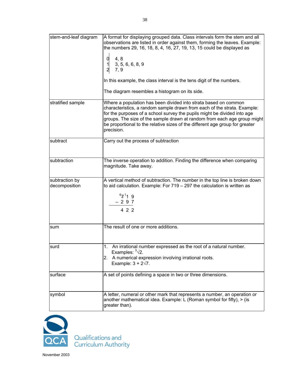| stem-and-leaf diagram           | A format for displaying grouped data. Class intervals form the stem and all<br>observations are listed in order against them, forming the leaves. Example:<br>the numbers 29, 16, 18, 8, 4, 16, 27, 19, 13, 15 could be displayed as<br>0<br>4, 8<br>3, 5, 6, 6, 8, 9<br>7, 9<br>In this example, the class interval is the tens digit of the numbers.<br>The diagram resembles a histogram on its side. |
|---------------------------------|----------------------------------------------------------------------------------------------------------------------------------------------------------------------------------------------------------------------------------------------------------------------------------------------------------------------------------------------------------------------------------------------------------|
| stratified sample               | Where a population has been divided into strata based on common<br>characteristics, a random sample drawn from each of the strata. Example:<br>for the purposes of a school survey the pupils might be divided into age<br>groups. The size of the sample drawn at random from each age group might<br>be proportional to the relative sizes of the different age group for greater<br>precision.        |
| subtract                        | Carry out the process of subtraction                                                                                                                                                                                                                                                                                                                                                                     |
| subtraction                     | The inverse operation to addition. Finding the difference when comparing<br>magnitude. Take away.                                                                                                                                                                                                                                                                                                        |
| subtraction by<br>decomposition | A vertical method of subtraction. The number in the top line is broken down<br>to aid calculation. Example: For $719 - 297$ the calculation is written as<br>$^{6}Z^{1}19$<br>- 297<br>4 2 2                                                                                                                                                                                                             |
| sum                             | The result of one or more additions.                                                                                                                                                                                                                                                                                                                                                                     |
| surd                            | An irrational number expressed as the root of a natural number.<br>Examples: $\sqrt[3]{2}$ .<br>2. A numerical expression involving irrational roots.<br>Example: $3 + 2\sqrt{7}$ .                                                                                                                                                                                                                      |
| surface                         | A set of points defining a space in two or three dimensions.                                                                                                                                                                                                                                                                                                                                             |
| symbol                          | A letter, numeral or other mark that represents a number, an operation or<br>another mathematical idea. Example: L (Roman symbol for fifty), $>$ (is<br>greater than).                                                                                                                                                                                                                                   |

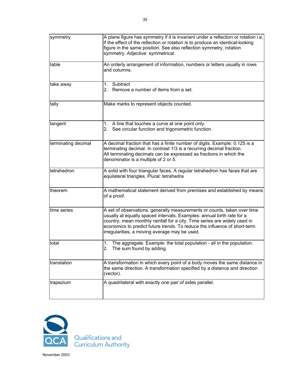| symmetry            | A plane figure has symmetry if it is invariant under a reflection or rotation i.e.<br>if the effect of the reflection or rotation is to produce an identical-looking<br>figure in the same position. See also reflection symmetry, rotation<br>symmetry. Adjective: symmetrical.                                                                              |
|---------------------|---------------------------------------------------------------------------------------------------------------------------------------------------------------------------------------------------------------------------------------------------------------------------------------------------------------------------------------------------------------|
| table               | An orderly arrangement of information, numbers or letters usually in rows<br>and columns.                                                                                                                                                                                                                                                                     |
| take away           | 1. Subtract<br>2. Remove a number of items from a set.                                                                                                                                                                                                                                                                                                        |
| tally               | Make marks to represent objects counted.                                                                                                                                                                                                                                                                                                                      |
| tangent             | 1. A line that touches a curve at one point only.<br>2. See circular function and trigonometric function.                                                                                                                                                                                                                                                     |
| terminating decimal | A decimal fraction that has a finite number of digits. Example: 0.125 is a<br>terminating decimal. In contrast 1/3 is a recurring decimal fraction.<br>All terminating decimals can be expressed as fractions in which the<br>denominator is a multiple of 2 or 5.                                                                                            |
| tetrahedron         | A solid with four triangular faces. A regular tetrahedron has faces that are<br>equilateral triangles. Plural: tetrahedra                                                                                                                                                                                                                                     |
| theorem             | A mathematical statement derived from premises and established by means<br>of a proof.                                                                                                                                                                                                                                                                        |
| time series         | A set of observations, generally measurements or counts, taken over time<br>usually at equally spaced intervals. Examples: annual birth rate for a<br>country, mean monthly rainfall for a city. Time series are widely used in<br>economics to predict future trends. To reduce the influence of short-term<br>irregularities, a moving average may be used. |
| total               | 1. The aggregate. Example: the total population - all in the population.<br>The sum found by adding.<br>2.                                                                                                                                                                                                                                                    |
| translation         | A transformation in which every point of a body moves the same distance in<br>the same direction. A transformation specified by a distance and direction<br>(vector).                                                                                                                                                                                         |
| trapezium           | A quadrilateral with exactly one pair of sides parallel.                                                                                                                                                                                                                                                                                                      |

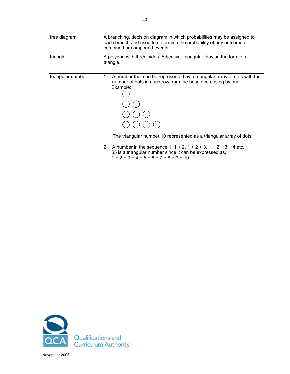| tree diagram      | A branching, decision diagram in which probabilities may be assigned to<br>each branch and used to determine the probability of any outcome of<br>combined or compound events.                                                                                                                                                                                                                                              |
|-------------------|-----------------------------------------------------------------------------------------------------------------------------------------------------------------------------------------------------------------------------------------------------------------------------------------------------------------------------------------------------------------------------------------------------------------------------|
| triangle          | A polygon with three sides. Adjective: triangular, having the form of a<br>triangle.                                                                                                                                                                                                                                                                                                                                        |
| triangular number | $1_{\cdot}$<br>A number that can be represented by a triangular array of dots with the<br>number of dots in each row from the base decreasing by one.<br>Example:<br>The triangular number 10 represented as a triangular array of dots.<br>A number in the sequence $1, 1 + 2, 1 + 2 + 3, 1 + 2 + 3 + 4$ etc.<br>2.<br>55 is a triangular number since it can be expressed as,<br>$1 + 2 + 3 + 4 + 5 + 6 + 7 + 8 + 9 + 10$ |

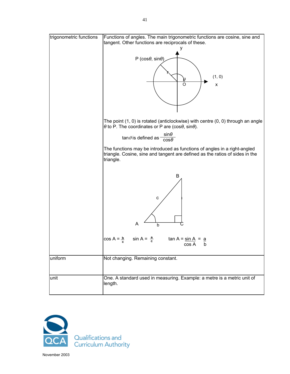